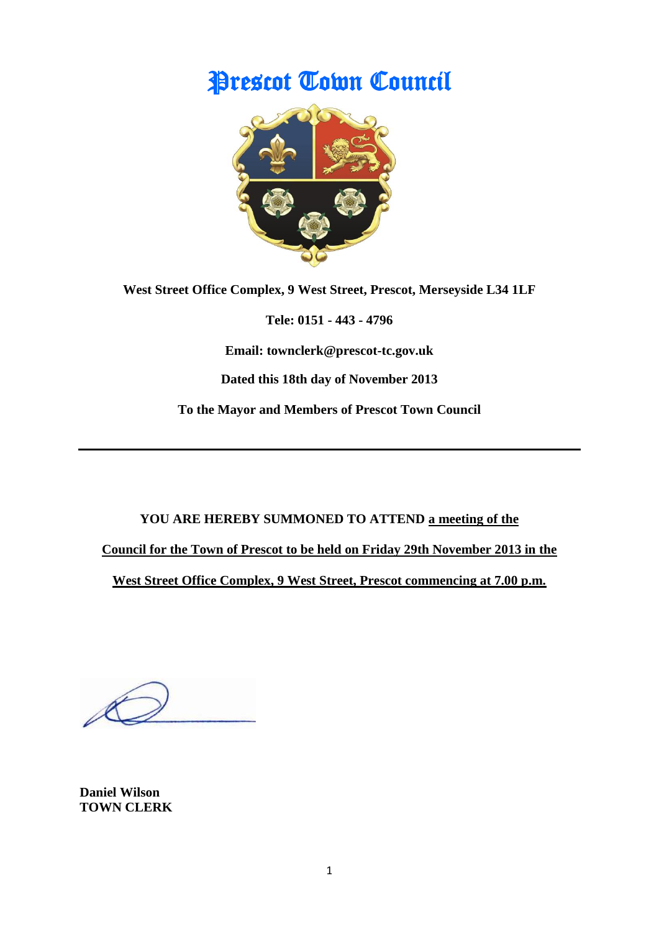# Prescot Town Council



**West Street Office Complex, 9 West Street, Prescot, Merseyside L34 1LF**

**Tele: 0151 - 443 - 4796**

**Email: townclerk@prescot-tc.gov.uk**

**Dated this 18th day of November 2013**

**To the Mayor and Members of Prescot Town Council**

**YOU ARE HEREBY SUMMONED TO ATTEND a meeting of the** 

**Council for the Town of Prescot to be held on Friday 29th November 2013 in the**

**West Street Office Complex, 9 West Street, Prescot commencing at 7.00 p.m.**

**Daniel Wilson TOWN CLERK**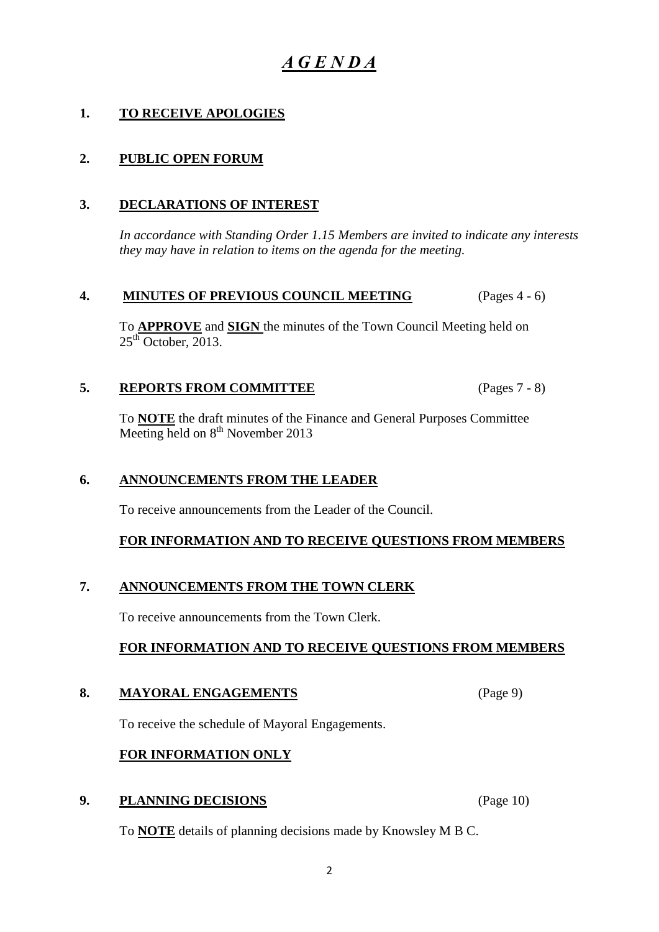## *A G E N D A*

### **1. TO RECEIVE APOLOGIES**

### **2. PUBLIC OPEN FORUM**

#### **3. DECLARATIONS OF INTEREST**

*In accordance with Standing Order 1.15 Members are invited to indicate any interests they may have in relation to items on the agenda for the meeting.*

#### **4. MINUTES OF PREVIOUS COUNCIL MEETING** (Pages 4 - 6)

To **APPROVE** and **SIGN** the minutes of the Town Council Meeting held on  $25<sup>th</sup>$  October, 2013.

#### **5. REPORTS FROM COMMITTEE** (Pages 7 - 8)

To **NOTE** the draft minutes of the Finance and General Purposes Committee Meeting held on  $8<sup>th</sup>$  November 2013

#### **6. ANNOUNCEMENTS FROM THE LEADER**

To receive announcements from the Leader of the Council.

#### **FOR INFORMATION AND TO RECEIVE QUESTIONS FROM MEMBERS**

#### **7. ANNOUNCEMENTS FROM THE TOWN CLERK**

To receive announcements from the Town Clerk.

#### **FOR INFORMATION AND TO RECEIVE QUESTIONS FROM MEMBERS**

#### **8. MAYORAL ENGAGEMENTS** (Page 9)

To receive the schedule of Mayoral Engagements.

#### **FOR INFORMATION ONLY**

#### **9. PLANNING DECISIONS** (Page 10)

To **NOTE** details of planning decisions made by Knowsley M B C.